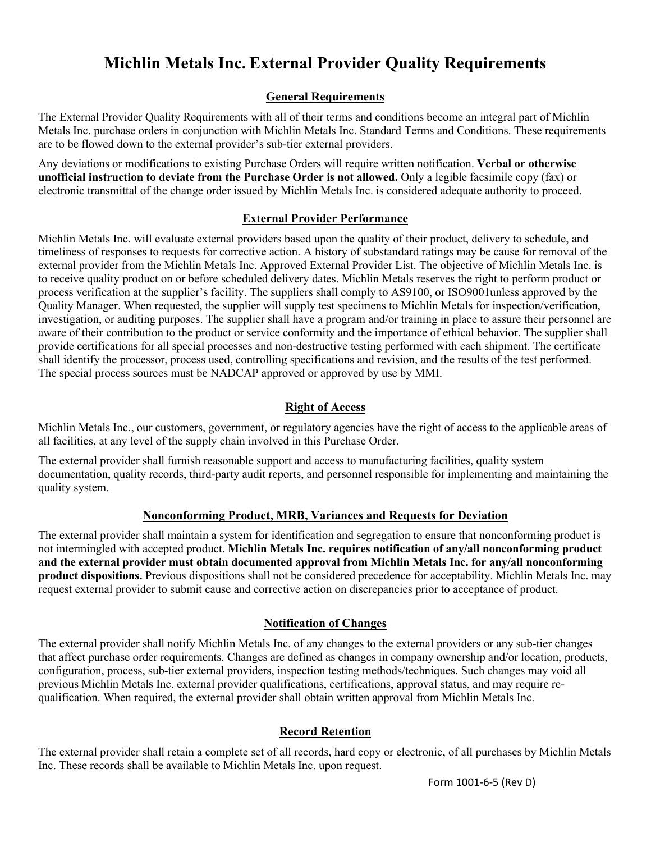# **Michlin Metals Inc. External Provider Quality Requirements**

### **General Requirements**

The External Provider Quality Requirements with all of their terms and conditions become an integral part of Michlin Metals Inc. purchase orders in conjunction with Michlin Metals Inc. Standard Terms and Conditions. These requirements are to be flowed down to the external provider's sub-tier external providers.

Any deviations or modifications to existing Purchase Orders will require written notification. **Verbal or otherwise unofficial instruction to deviate from the Purchase Order is not allowed.** Only a legible facsimile copy (fax) or electronic transmittal of the change order issued by Michlin Metals Inc. is considered adequate authority to proceed.

## **External Provider Performance**

Michlin Metals Inc. will evaluate external providers based upon the quality of their product, delivery to schedule, and timeliness of responses to requests for corrective action. A history of substandard ratings may be cause for removal of the external provider from the Michlin Metals Inc. Approved External Provider List. The objective of Michlin Metals Inc. is to receive quality product on or before scheduled delivery dates. Michlin Metals reserves the right to perform product or process verification at the supplier's facility. The suppliers shall comply to AS9100, or ISO9001unless approved by the Quality Manager. When requested, the supplier will supply test specimens to Michlin Metals for inspection/verification, investigation, or auditing purposes. The supplier shall have a program and/or training in place to assure their personnel are aware of their contribution to the product or service conformity and the importance of ethical behavior. The supplier shall provide certifications for all special processes and non-destructive testing performed with each shipment. The certificate shall identify the processor, process used, controlling specifications and revision, and the results of the test performed. The special process sources must be NADCAP approved or approved by use by MMI.

## **Right of Access**

Michlin Metals Inc., our customers, government, or regulatory agencies have the right of access to the applicable areas of all facilities, at any level of the supply chain involved in this Purchase Order.

The external provider shall furnish reasonable support and access to manufacturing facilities, quality system documentation, quality records, third-party audit reports, and personnel responsible for implementing and maintaining the quality system.

# **Nonconforming Product, MRB, Variances and Requests for Deviation**

The external provider shall maintain a system for identification and segregation to ensure that nonconforming product is not intermingled with accepted product. **Michlin Metals Inc. requires notification of any/all nonconforming product and the external provider must obtain documented approval from Michlin Metals Inc. for any/all nonconforming product dispositions.** Previous dispositions shall not be considered precedence for acceptability. Michlin Metals Inc. may request external provider to submit cause and corrective action on discrepancies prior to acceptance of product.

# **Notification of Changes**

The external provider shall notify Michlin Metals Inc. of any changes to the external providers or any sub-tier changes that affect purchase order requirements. Changes are defined as changes in company ownership and/or location, products, configuration, process, sub-tier external providers, inspection testing methods/techniques. Such changes may void all previous Michlin Metals Inc. external provider qualifications, certifications, approval status, and may require requalification. When required, the external provider shall obtain written approval from Michlin Metals Inc.

# **Record Retention**

The external provider shall retain a complete set of all records, hard copy or electronic, of all purchases by Michlin Metals Inc. These records shall be available to Michlin Metals Inc. upon request.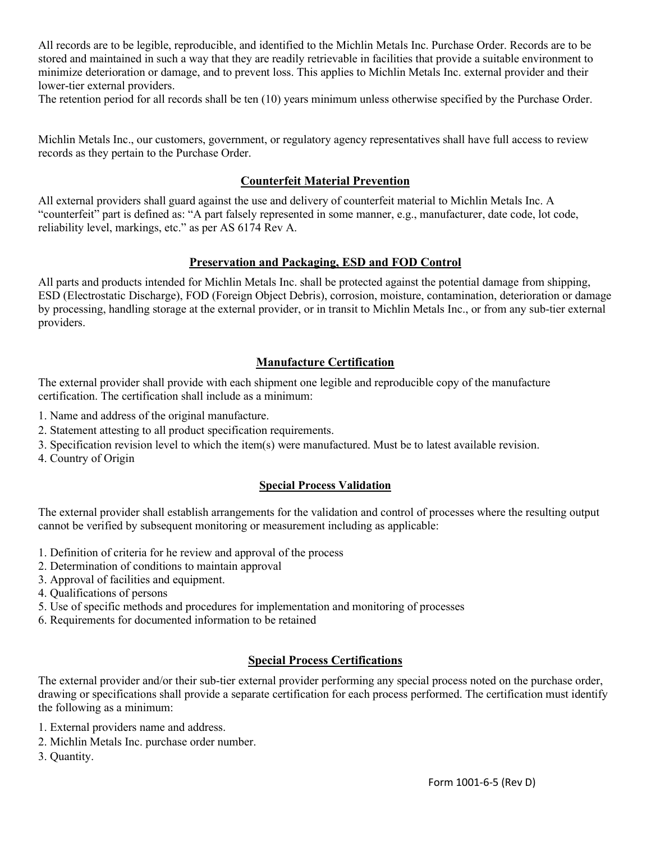All records are to be legible, reproducible, and identified to the Michlin Metals Inc. Purchase Order. Records are to be stored and maintained in such a way that they are readily retrievable in facilities that provide a suitable environment to minimize deterioration or damage, and to prevent loss. This applies to Michlin Metals Inc. external provider and their lower-tier external providers.

The retention period for all records shall be ten (10) years minimum unless otherwise specified by the Purchase Order.

Michlin Metals Inc., our customers, government, or regulatory agency representatives shall have full access to review records as they pertain to the Purchase Order.

## **Counterfeit Material Prevention**

All external providers shall guard against the use and delivery of counterfeit material to Michlin Metals Inc. A "counterfeit" part is defined as: "A part falsely represented in some manner, e.g., manufacturer, date code, lot code, reliability level, markings, etc." as per AS 6174 Rev A.

#### **Preservation and Packaging, ESD and FOD Control**

All parts and products intended for Michlin Metals Inc. shall be protected against the potential damage from shipping, ESD (Electrostatic Discharge), FOD (Foreign Object Debris), corrosion, moisture, contamination, deterioration or damage by processing, handling storage at the external provider, or in transit to Michlin Metals Inc., or from any sub-tier external providers.

# **Manufacture Certification**

The external provider shall provide with each shipment one legible and reproducible copy of the manufacture certification. The certification shall include as a minimum:

- 1. Name and address of the original manufacture.
- 2. Statement attesting to all product specification requirements.
- 3. Specification revision level to which the item(s) were manufactured. Must be to latest available revision.
- 4. Country of Origin

# **Special Process Validation**

The external provider shall establish arrangements for the validation and control of processes where the resulting output cannot be verified by subsequent monitoring or measurement including as applicable:

- 1. Definition of criteria for he review and approval of the process
- 2. Determination of conditions to maintain approval
- 3. Approval of facilities and equipment.
- 4. Qualifications of persons
- 5. Use of specific methods and procedures for implementation and monitoring of processes
- 6. Requirements for documented information to be retained

# **Special Process Certifications**

The external provider and/or their sub-tier external provider performing any special process noted on the purchase order, drawing or specifications shall provide a separate certification for each process performed. The certification must identify the following as a minimum:

- 1. External providers name and address.
- 2. Michlin Metals Inc. purchase order number.

3. Quantity.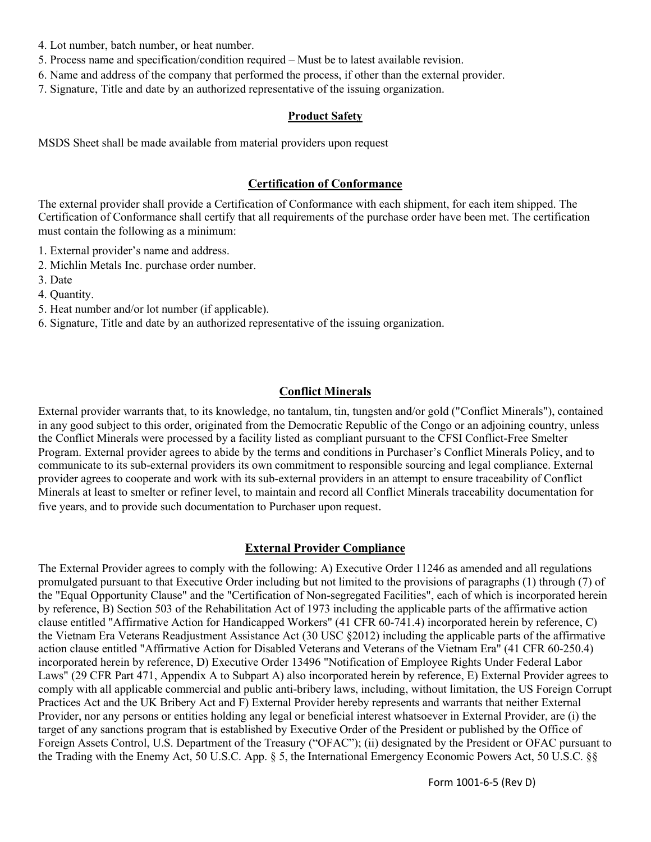- 4. Lot number, batch number, or heat number.
- 5. Process name and specification/condition required Must be to latest available revision.
- 6. Name and address of the company that performed the process, if other than the external provider.
- 7. Signature, Title and date by an authorized representative of the issuing organization.

#### **Product Safety**

MSDS Sheet shall be made available from material providers upon request

### **Certification of Conformance**

The external provider shall provide a Certification of Conformance with each shipment, for each item shipped. The Certification of Conformance shall certify that all requirements of the purchase order have been met. The certification must contain the following as a minimum:

1. External provider's name and address.

- 2. Michlin Metals Inc. purchase order number.
- 3. Date
- 4. Quantity.
- 5. Heat number and/or lot number (if applicable).
- 6. Signature, Title and date by an authorized representative of the issuing organization.

#### **Conflict Minerals**

External provider warrants that, to its knowledge, no tantalum, tin, tungsten and/or gold ("Conflict Minerals"), contained in any good subject to this order, originated from the Democratic Republic of the Congo or an adjoining country, unless the Conflict Minerals were processed by a facility listed as compliant pursuant to the CFSI Conflict-Free Smelter Program. External provider agrees to abide by the terms and conditions in Purchaser's Conflict Minerals Policy, and to communicate to its sub-external providers its own commitment to responsible sourcing and legal compliance. External provider agrees to cooperate and work with its sub-external providers in an attempt to ensure traceability of Conflict Minerals at least to smelter or refiner level, to maintain and record all Conflict Minerals traceability documentation for five years, and to provide such documentation to Purchaser upon request.

#### **External Provider Compliance**

The External Provider agrees to comply with the following: A) Executive Order 11246 as amended and all regulations promulgated pursuant to that Executive Order including but not limited to the provisions of paragraphs (1) through (7) of the "Equal Opportunity Clause" and the "Certification of Non-segregated Facilities", each of which is incorporated herein by reference, B) Section 503 of the Rehabilitation Act of 1973 including the applicable parts of the affirmative action clause entitled "Affirmative Action for Handicapped Workers" (41 CFR 60-741.4) incorporated herein by reference, C) the Vietnam Era Veterans Readjustment Assistance Act (30 USC §2012) including the applicable parts of the affirmative action clause entitled "Affirmative Action for Disabled Veterans and Veterans of the Vietnam Era" (41 CFR 60-250.4) incorporated herein by reference, D) Executive Order 13496 "Notification of Employee Rights Under Federal Labor Laws" (29 CFR Part 471, Appendix A to Subpart A) also incorporated herein by reference, E) External Provider agrees to comply with all applicable commercial and public anti-bribery laws, including, without limitation, the US Foreign Corrupt Practices Act and the UK Bribery Act and F) External Provider hereby represents and warrants that neither External Provider, nor any persons or entities holding any legal or beneficial interest whatsoever in External Provider, are (i) the target of any sanctions program that is established by Executive Order of the President or published by the Office of Foreign Assets Control, U.S. Department of the Treasury ("OFAC"); (ii) designated by the President or OFAC pursuant to the Trading with the Enemy Act, 50 U.S.C. App. § 5, the International Emergency Economic Powers Act, 50 U.S.C. §§

Form 1001-6-5 (Rev D)